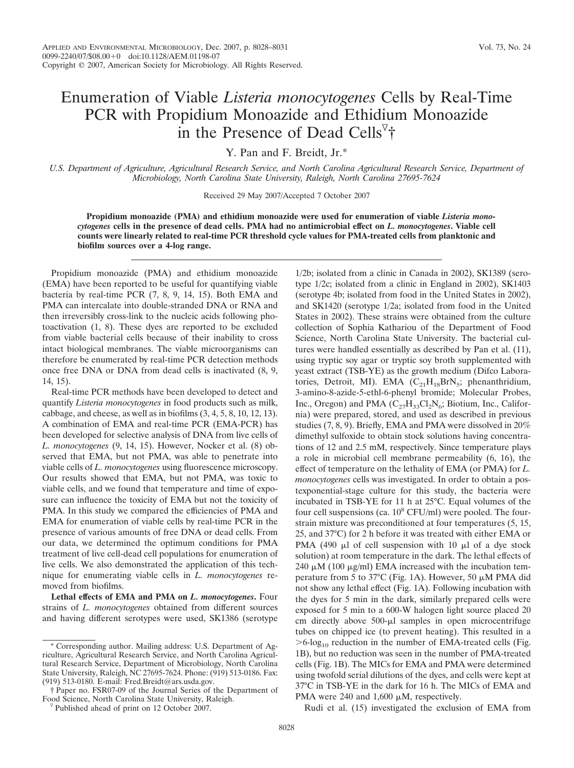## Enumeration of Viable *Listeria monocytogenes* Cells by Real-Time PCR with Propidium Monoazide and Ethidium Monoazide in the Presence of Dead Cells<sup> $\nabla$ †</sup>

Y. Pan and F. Breidt, Jr.\*

*U.S. Department of Agriculture, Agricultural Research Service, and North Carolina Agricultural Research Service, Department of Microbiology, North Carolina State University, Raleigh, North Carolina 27695-7624*

Received 29 May 2007/Accepted 7 October 2007

**Propidium monoazide (PMA) and ethidium monoazide were used for enumeration of viable** *Listeria monocytogenes* **cells in the presence of dead cells. PMA had no antimicrobial effect on** *L. monocytogenes***. Viable cell counts were linearly related to real-time PCR threshold cycle values for PMA-treated cells from planktonic and biofilm sources over a 4-log range.**

Propidium monoazide (PMA) and ethidium monoazide (EMA) have been reported to be useful for quantifying viable bacteria by real-time PCR (7, 8, 9, 14, 15). Both EMA and PMA can intercalate into double-stranded DNA or RNA and then irreversibly cross-link to the nucleic acids following photoactivation (1, 8). These dyes are reported to be excluded from viable bacterial cells because of their inability to cross intact biological membranes. The viable microorganisms can therefore be enumerated by real-time PCR detection methods once free DNA or DNA from dead cells is inactivated (8, 9, 14, 15).

Real-time PCR methods have been developed to detect and quantify *Listeria monocytogenes* in food products such as milk, cabbage, and cheese, as well as in biofilms (3, 4, 5, 8, 10, 12, 13). A combination of EMA and real-time PCR (EMA-PCR) has been developed for selective analysis of DNA from live cells of *L. monocytogenes* (9, 14, 15). However, Nocker et al. (8) observed that EMA, but not PMA, was able to penetrate into viable cells of *L. monocytogenes* using fluorescence microscopy. Our results showed that EMA, but not PMA, was toxic to viable cells, and we found that temperature and time of exposure can influence the toxicity of EMA but not the toxicity of PMA. In this study we compared the efficiencies of PMA and EMA for enumeration of viable cells by real-time PCR in the presence of various amounts of free DNA or dead cells. From our data, we determined the optimum conditions for PMA treatment of live cell-dead cell populations for enumeration of live cells. We also demonstrated the application of this technique for enumerating viable cells in *L. monocytogenes* removed from biofilms.

**Lethal effects of EMA and PMA on** *L. monocytogenes***.** Four strains of *L. monocytogenes* obtained from different sources and having different serotypes were used, SK1386 (serotype

1/2b; isolated from a clinic in Canada in 2002), SK1389 (serotype 1/2c; isolated from a clinic in England in 2002), SK1403 (serotype 4b; isolated from food in the United States in 2002), and SK1420 (serotype 1/2a; isolated from food in the United States in 2002). These strains were obtained from the culture collection of Sophia Kathariou of the Department of Food Science, North Carolina State University. The bacterial cultures were handled essentially as described by Pan et al. (11), using tryptic soy agar or tryptic soy broth supplemented with yeast extract (TSB-YE) as the growth medium (Difco Laboratories, Detroit, MI). EMA  $(C_{21}H_{18}BrN_5;$  phenanthridium, 3-amino-8-azide-5-ethl-6-phenyl bromide; Molecular Probes, Inc., Oregon) and PMA  $(C_{27}H_{33}Cl_2N_6;$  Biotium, Inc., California) were prepared, stored, and used as described in previous studies (7, 8, 9). Briefly, EMA and PMA were dissolved in 20% dimethyl sulfoxide to obtain stock solutions having concentrations of 12 and 2.5 mM, respectively. Since temperature plays a role in microbial cell membrane permeability (6, 16), the effect of temperature on the lethality of EMA (or PMA) for *L. monocytogenes* cells was investigated. In order to obtain a postexponential-stage culture for this study, the bacteria were incubated in TSB-YE for 11 h at 25°C. Equal volumes of the four cell suspensions (ca.  $10^8$  CFU/ml) were pooled. The fourstrain mixture was preconditioned at four temperatures (5, 15, 25, and 37°C) for 2 h before it was treated with either EMA or PMA (490  $\mu$ l of cell suspension with 10  $\mu$ l of a dye stock solution) at room temperature in the dark. The lethal effects of 240  $\mu$ M (100  $\mu$ g/ml) EMA increased with the incubation temperature from 5 to 37°C (Fig. 1A). However, 50  $\mu$ M PMA did not show any lethal effect (Fig. 1A). Following incubation with the dyes for 5 min in the dark, similarly prepared cells were exposed for 5 min to a 600-W halogen light source placed 20 cm directly above 500-µl samples in open microcentrifuge tubes on chipped ice (to prevent heating). This resulted in a  $>6$ -log<sub>10</sub> reduction in the number of EMA-treated cells (Fig. 1B), but no reduction was seen in the number of PMA-treated cells (Fig. 1B). The MICs for EMA and PMA were determined using twofold serial dilutions of the dyes, and cells were kept at 37°C in TSB-YE in the dark for 16 h. The MICs of EMA and PMA were 240 and  $1,600 \mu$ M, respectively.

Rudi et al. (15) investigated the exclusion of EMA from

<sup>\*</sup> Corresponding author. Mailing address: U.S. Department of Agriculture, Agricultural Research Service, and North Carolina Agricultural Research Service, Department of Microbiology, North Carolina State University, Raleigh, NC 27695-7624. Phone: (919) 513-0186. Fax: (919) 513-0180. E-mail: Fred.Breidt@ars.usda.gov.

<sup>†</sup> Paper no. FSR07-09 of the Journal Series of the Department of

 $\nabla$  Published ahead of print on 12 October 2007.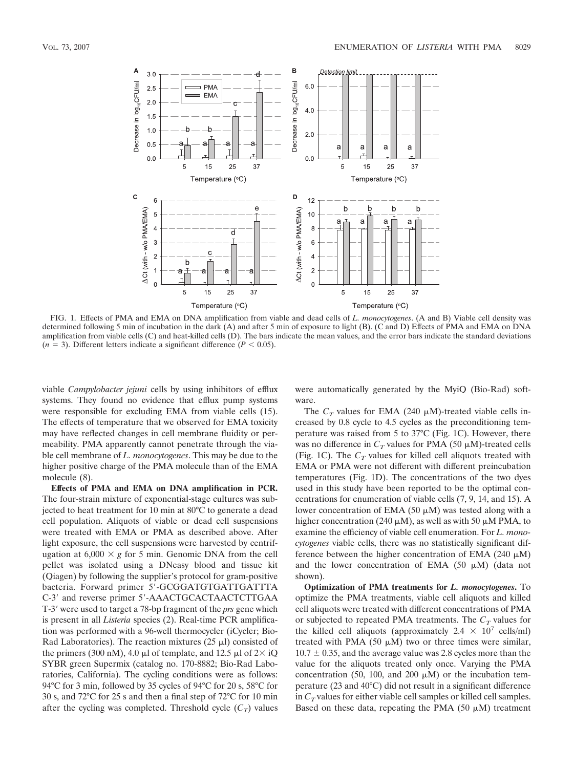

FIG. 1. Effects of PMA and EMA on DNA amplification from viable and dead cells of *L. monocytogenes*. (A and B) Viable cell density was determined following 5 min of incubation in the dark (A) and after 5 min of exposure to light (B). (C and D) Effects of PMA and EMA on DNA amplification from viable cells (C) and heat-killed cells (D). The bars indicate the mean values, and the error bars indicate the standard deviations  $(n = 3)$ . Different letters indicate a significant difference  $(P < 0.05)$ .

viable *Campylobacter jejuni* cells by using inhibitors of efflux systems. They found no evidence that efflux pump systems were responsible for excluding EMA from viable cells (15). The effects of temperature that we observed for EMA toxicity may have reflected changes in cell membrane fluidity or permeability. PMA apparently cannot penetrate through the viable cell membrane of *L. monocytogenes*. This may be due to the higher positive charge of the PMA molecule than of the EMA molecule (8).

**Effects of PMA and EMA on DNA amplification in PCR.** The four-strain mixture of exponential-stage cultures was subjected to heat treatment for 10 min at 80°C to generate a dead cell population. Aliquots of viable or dead cell suspensions were treated with EMA or PMA as described above. After light exposure, the cell suspensions were harvested by centrifugation at  $6,000 \times g$  for 5 min. Genomic DNA from the cell pellet was isolated using a DNeasy blood and tissue kit (Qiagen) by following the supplier's protocol for gram-positive bacteria. Forward primer 5'-GCGGATGTGATTGATTTA C-3' and reverse primer 5'-AAACTGCACTAACTCTTGAA T-3 were used to target a 78-bp fragment of the *prs* gene which is present in all *Listeria* species (2). Real-time PCR amplification was performed with a 96-well thermocycler (iCycler; Bio-Rad Laboratories). The reaction mixtures  $(25 \mu I)$  consisted of the primers (300 nM), 4.0  $\mu$ l of template, and 12.5  $\mu$ l of 2× iQ SYBR green Supermix (catalog no. 170-8882; Bio-Rad Laboratories, California). The cycling conditions were as follows: 94°C for 3 min, followed by 35 cycles of 94°C for 20 s, 58°C for 30 s, and 72°C for 25 s and then a final step of 72°C for 10 min after the cycling was completed. Threshold cycle  $(C_T)$  values

were automatically generated by the MyiQ (Bio-Rad) software.

The  $C_T$  values for EMA (240  $\mu$ M)-treated viable cells increased by 0.8 cycle to 4.5 cycles as the preconditioning temperature was raised from 5 to 37°C (Fig. 1C). However, there was no difference in  $C_T$  values for PMA (50  $\mu$ M)-treated cells (Fig. 1C). The  $C_T$  values for killed cell aliquots treated with EMA or PMA were not different with different preincubation temperatures (Fig. 1D). The concentrations of the two dyes used in this study have been reported to be the optimal concentrations for enumeration of viable cells (7, 9, 14, and 15). A lower concentration of EMA  $(50 \mu M)$  was tested along with a higher concentration (240  $\mu$ M), as well as with 50  $\mu$ M PMA, to examine the efficiency of viable cell enumeration. For *L. monocytogenes* viable cells, there was no statistically significant difference between the higher concentration of EMA (240  $\mu$ M) and the lower concentration of EMA  $(50 \mu M)$  (data not shown).

**Optimization of PMA treatments for** *L. monocytogenes***.** To optimize the PMA treatments, viable cell aliquots and killed cell aliquots were treated with different concentrations of PMA or subjected to repeated PMA treatments. The  $C_T$  values for the killed cell aliquots (approximately  $2.4 \times 10^7$  cells/ml) treated with PMA  $(50 \mu M)$  two or three times were similar,  $10.7 \pm 0.35$ , and the average value was 2.8 cycles more than the value for the aliquots treated only once. Varying the PMA concentration (50, 100, and 200  $\mu$ M) or the incubation temperature (23 and 40°C) did not result in a significant difference in  $C_T$  values for either viable cell samples or killed cell samples. Based on these data, repeating the PMA  $(50 \mu M)$  treatment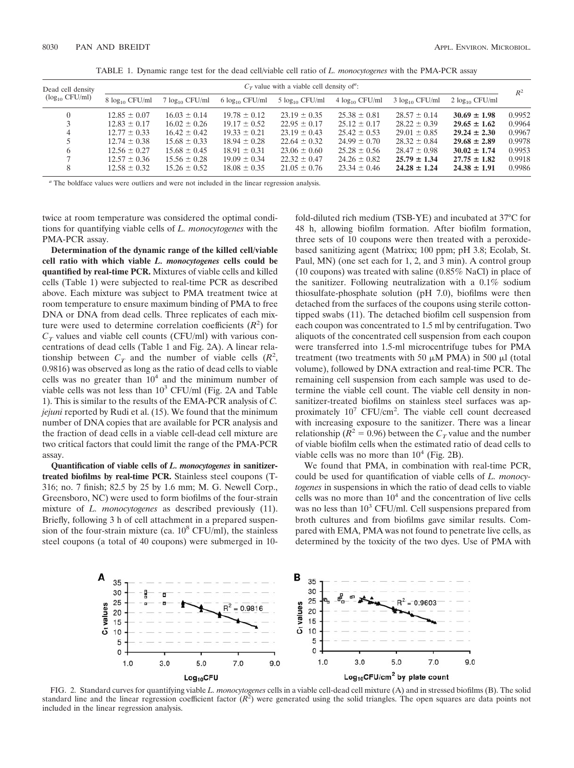| Dead cell density<br>$(\log_{10} CFU/ml)$ | $C_T$ value with a viable cell density of ": |                      |                      |                      |                      |                      |                      |        |
|-------------------------------------------|----------------------------------------------|----------------------|----------------------|----------------------|----------------------|----------------------|----------------------|--------|
|                                           | $8 \log_{10} CFU/ml$                         | $7 \log_{10} CFU/ml$ | $6 \log_{10} CFU/ml$ | $5 \log_{10} CFU/ml$ | $4 \log_{10} CFU/ml$ | $3 \log_{10} CFU/ml$ | $2 \log_{10} CFU/ml$ | $R^2$  |
|                                           | $12.85 \pm 0.07$                             | $16.03 \pm 0.14$     | $19.78 \pm 0.12$     | $23.19 \pm 0.35$     | $25.38 \pm 0.81$     | $28.57 \pm 0.14$     | $30.69 \pm 1.98$     | 0.9952 |
|                                           | $12.83 \pm 0.17$                             | $16.02 \pm 0.26$     | $19.17 \pm 0.52$     | $22.95 \pm 0.17$     | $25.12 \pm 0.17$     | $28.22 \pm 0.39$     | $29.65 \pm 1.62$     | 0.9964 |
| 4                                         | $12.77 \pm 0.33$                             | $16.42 \pm 0.42$     | $19.33 \pm 0.21$     | $23.19 \pm 0.43$     | $25.42 \pm 0.53$     | $29.01 \pm 0.85$     | $29.24 \pm 2.30$     | 0.9967 |
|                                           | $12.74 \pm 0.38$                             | $15.68 \pm 0.33$     | $18.94 \pm 0.28$     | $22.64 \pm 0.32$     | $24.99 \pm 0.70$     | $28.32 \pm 0.84$     | $29.68 \pm 2.89$     | 0.9978 |
| 6                                         | $12.56 \pm 0.27$                             | $15.68 \pm 0.45$     | $18.91 \pm 0.31$     | $23.06 \pm 0.60$     | $25.28 \pm 0.56$     | $28.47 \pm 0.98$     | $30.02 \pm 1.74$     | 0.9953 |
|                                           | $12.57 \pm 0.36$                             | $15.56 \pm 0.28$     | $19.09 \pm 0.34$     | $22.32 \pm 0.47$     | $24.26 \pm 0.82$     | $25.79 \pm 1.34$     | $27.75 \pm 1.82$     | 0.9918 |
| 8                                         | $12.58 \pm 0.32$                             | $15.26 \pm 0.52$     | $18.08 \pm 0.35$     | $21.05 \pm 0.76$     | $23.34 \pm 0.46$     | $24.28 \pm 1.24$     | $24.38 \pm 1.91$     | 0.9986 |

TABLE 1. Dynamic range test for the dead cell/viable cell ratio of *L. monocytogenes* with the PMA-PCR assay

*<sup>a</sup>* The boldface values were outliers and were not included in the linear regression analysis.

twice at room temperature was considered the optimal conditions for quantifying viable cells of *L. monocytogenes* with the PMA-PCR assay.

**Determination of the dynamic range of the killed cell/viable cell ratio with which viable** *L. monocytogenes* **cells could be quantified by real-time PCR.** Mixtures of viable cells and killed cells (Table 1) were subjected to real-time PCR as described above. Each mixture was subject to PMA treatment twice at room temperature to ensure maximum binding of PMA to free DNA or DNA from dead cells. Three replicates of each mixture were used to determine correlation coefficients  $(R^2)$  for  $C_T$  values and viable cell counts (CFU/ml) with various concentrations of dead cells (Table 1 and Fig. 2A). A linear relationship between  $C_T$  and the number of viable cells  $(R^2, R^3)$ 0.9816) was observed as long as the ratio of dead cells to viable cells was no greater than  $10<sup>4</sup>$  and the minimum number of viable cells was not less than  $10<sup>3</sup>$  CFU/ml (Fig. 2A and Table 1). This is similar to the results of the EMA-PCR analysis of *C. jejuni* reported by Rudi et al. (15). We found that the minimum number of DNA copies that are available for PCR analysis and the fraction of dead cells in a viable cell-dead cell mixture are two critical factors that could limit the range of the PMA-PCR assay.

**Quantification of viable cells of** *L. monocytogenes* **in sanitizertreated biofilms by real-time PCR.** Stainless steel coupons (T-316; no. 7 finish; 82.5 by 25 by 1.6 mm; M. G. Newell Corp., Greensboro, NC) were used to form biofilms of the four-strain mixture of *L. monocytogenes* as described previously (11). Briefly, following 3 h of cell attachment in a prepared suspension of the four-strain mixture (ca.  $10^8$  CFU/ml), the stainless steel coupons (a total of 40 coupons) were submerged in 10fold-diluted rich medium (TSB-YE) and incubated at 37°C for 48 h, allowing biofilm formation. After biofilm formation, three sets of 10 coupons were then treated with a peroxidebased sanitizing agent (Matrixx; 100 ppm; pH 3.8; Ecolab, St. Paul, MN) (one set each for 1, 2, and 3 min). A control group (10 coupons) was treated with saline (0.85% NaCl) in place of the sanitizer. Following neutralization with a 0.1% sodium thiosulfate-phosphate solution (pH 7.0), biofilms were then detached from the surfaces of the coupons using sterile cottontipped swabs (11). The detached biofilm cell suspension from each coupon was concentrated to 1.5 ml by centrifugation. Two aliquots of the concentrated cell suspension from each coupon were transferred into 1.5-ml microcentrifuge tubes for PMA treatment (two treatments with 50  $\mu$ M PMA) in 500  $\mu$ l (total volume), followed by DNA extraction and real-time PCR. The remaining cell suspension from each sample was used to determine the viable cell count. The viable cell density in nonsanitizer-treated biofilms on stainless steel surfaces was approximately 10<sup>7</sup> CFU/cm<sup>2</sup>. The viable cell count decreased with increasing exposure to the sanitizer. There was a linear relationship ( $\overline{R}^2 = 0.96$ ) between the  $C_T$  value and the number of viable biofilm cells when the estimated ratio of dead cells to viable cells was no more than  $10^4$  (Fig. 2B).

We found that PMA, in combination with real-time PCR, could be used for quantification of viable cells of *L. monocytogenes* in suspensions in which the ratio of dead cells to viable cells was no more than  $10<sup>4</sup>$  and the concentration of live cells was no less than  $10^3$  CFU/ml. Cell suspensions prepared from broth cultures and from biofilms gave similar results. Compared with EMA, PMA was not found to penetrate live cells, as determined by the toxicity of the two dyes. Use of PMA with



FIG. 2. Standard curves for quantifying viable *L. monocytogenes* cells in a viable cell-dead cell mixture (A) and in stressed biofilms (B). The solid standard line and the linear regression coefficient factor  $(R^2)$  were generated using the solid triangles. The open squares are data points not included in the linear regression analysis.